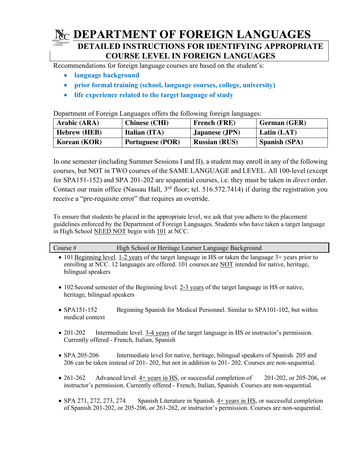## **DEPARTMENT OF FOREIGN LANGUAGES**

#### **DETAILED INSTRUCTIONS FOR IDENTIFYING APPROPRIATE COURSE LEVEL IN FOREIGN LANGUAGES**

Recommendations for foreign language courses are based on the student's:

- **language background**
- **prior formal training (school, language courses, college, university)**
- **life experience related to the target language of study**

Department of Foreign Languages offers the following foreign languages:

| Arabic (ARA)        | <b>Chinese (CHI)</b>    | <b>French (FRE)</b>  | German (GER)         |
|---------------------|-------------------------|----------------------|----------------------|
| <b>Hebrew (HEB)</b> | <b>Italian (ITA)</b>    | Japanese (JPN)       | Latin $(LAT)$        |
| Korean (KOR)        | <b>Portuguese (POR)</b> | <b>Russian (RUS)</b> | <b>Spanish (SPA)</b> |

In one semester (including Summer Sessions I and II), a student may enroll in any of the following courses, but NOT in TWO courses of the SAME LANGUAGE and LEVEL. All 100-level (except for SPA151-152) and SPA 201-202 are sequential courses, i.e. they must be taken in *direct* order. Contact our main office (Nassau Hall,  $3<sup>rd</sup>$  floor; tel. 516.572.7414) if during the registration you receive a "pre-requisite error" that requires an override.

To ensure that students be placed in the appropriate level, we ask that you adhere to the placement guidelines enforced by the Department of Foreign Languages. Students who have taken a target language in High School NEED NOT begin with 101 at NCC.

| Course $#$ | High School or Heritage Learner Language Background |
|------------|-----------------------------------------------------|
|            |                                                     |
|            |                                                     |

- 101 Beginning level. 1-2 years of the target language in HS or taken the language 3+ years prior to enrolling at NCC. 12 languages are offered. 101 courses are NOT intended for native, heritage, bilingual speakers
- 102 Second semester of the Beginning level. 2-3 years of the target language in HS or native, heritage, bilingual speakers
- SPA151-152 Beginning Spanish for Medical Personnel. Similar to SPA101-102, but within medical context
- 201-202 Intermediate level. 3-4 years of the target language in HS or instructor's permission. Currently offered - French, Italian, Spanish
- SPA 205-206 Intermediate level for native, heritage, bilingual speakers of Spanish. 205 and 206 can be taken instead of 201- 202, but not in addition to 201- 202. Courses are non-sequential.
- 261-262 Advanced level. 4+ years in HS, or successful completion of 201-202, or 205-206, or instructor's permission. Currently offered - French, Italian, Spanish. Courses are non-sequential.
- SPA 271, 272, 273, 274 Spanish Literature in Spanish. 4+ years in HS, or successful completion of Spanish 201-202, or 205-206, or 261-262, or instructor's permission. Courses are non-sequential.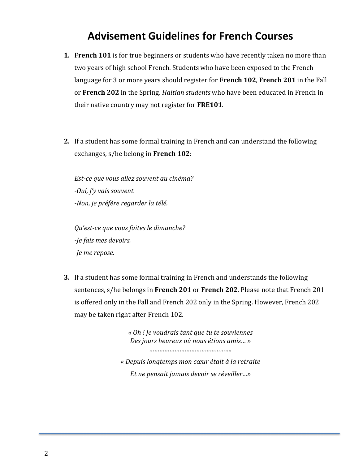# **Advisement Guidelines for French Courses**

- **1. French 101** is for true beginners or students who have recently taken no more than two years of high school French. Students who have been exposed to the French language for 3 or more years should register for French 102, French 201 in the Fall or **French 202** in the Spring. *Haitian students* who have been educated in French in their native country may not register for **FRE101**.
- **2.** If a student has some formal training in French and can understand the following exchanges, s/he belong in **French 102**:

*Est-ce que vous allez souvent au cinéma? -Oui, j'y vais souvent. -Non, je préfère regarder la télé.* 

*Qu'est-ce que vous faites le dimanche? -Je fais mes devoirs. -Je me repose.*

**3.** If a student has some formal training in French and understands the following sentences, s/he belongs in French 201 or French 202. Please note that French 201 is offered only in the Fall and French 202 only in the Spring. However, French 202 may be taken right after French 102.

> *« Oh ! Je voudrais tant que tu te souviennes Des jours heureux où nous étions amis… » …………………………………………. « Depuis longtemps mon cœur était à la retraite Et ne pensait jamais devoir se réveiller…»*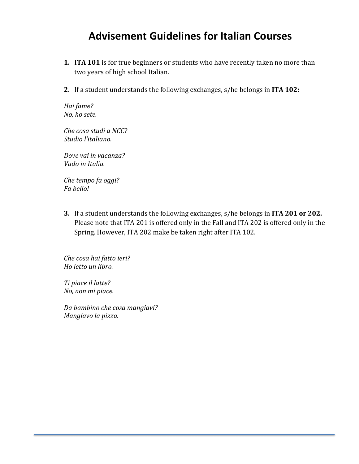# **Advisement Guidelines for Italian Courses**

- **1.** ITA 101 is for true beginners or students who have recently taken no more than two years of high school Italian.
- **2.** If a student understands the following exchanges, s/he belongs in ITA 102:

*Hai fame? No, ho sete.*

*Che cosa studi a NCC? Studio l'italiano.*

*Dove vai in vacanza? Vado in Italia.*

*Che tempo fa oggi? Fa bello!*

**3.** If a student understands the following exchanges, s/he belongs in ITA 201 or 202. Please note that ITA 201 is offered only in the Fall and ITA 202 is offered only in the Spring. However, ITA 202 make be taken right after ITA 102.

*Che cosa hai fatto ieri? Ho letto un libro.*

*Ti piace il latte? No, non mi piace.*

*Da bambino che cosa mangiavi? Mangiavo la pizza.*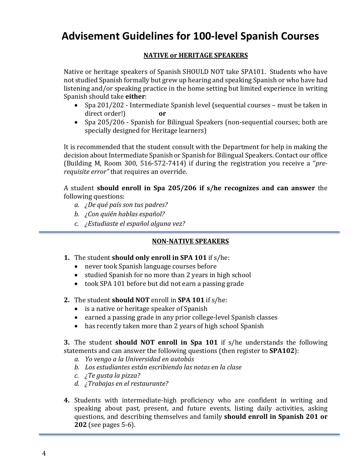# **Advisement Guidelines for 100-level Spanish Courses**

#### **NATIVE OF HERITAGE SPEAKERS**

Native or heritage speakers of Spanish SHOULD NOT take SPA101. Students who have not studied Spanish formally but grew up hearing and speaking Spanish or who have had listening and/or speaking practice in the home setting but limited experience in writing Spanish should take **either**:

- Spa 201/202 Intermediate Spanish level (sequential courses must be taken in direct order!) **or**
- Spa 205/206 Spanish for Bilingual Speakers (non-sequential courses; both are specially designed for Heritage learners)

It is recommended that the student consult with the Department for help in making the decision about Intermediate Spanish or Spanish for Bilingual Speakers. Contact our office (Building M, Room 300, 516-572-7414) if during the registration you receive a "*prerequisite error*" that requires an override.

A student **should enroll in Spa 205/206 if s/he recognizes and can answer** the following questions:

- *a. ¿De qué país son tus padres?*
- *b. ¿Con quién hablas español?*
- *c. ¿Estudiaste el español alguna vez?*

#### **NON-NATIVE SPEAKERS**

- **1.** The student **should** only enroll in SPA 101 if s/he:
	- never took Spanish language courses before
	- studied Spanish for no more than 2 years in high school
	- took SPA 101 before but did not earn a passing grade
- **2.** The student **should NOT** enroll in **SPA 101** if s/he:
	- $\bullet$  is a native or heritage speaker of Spanish
	- earned a passing grade in any prior college-level Spanish classes
	- has recently taken more than 2 years of high school Spanish

**3.** The student **should NOT** enroll in Spa 101 if s/he understands the following statements and can answer the following questions (then register to **SPA102**):

- *a. Yo vengo a la Universidad en autobús*
- *b. Los estudiantes están escribiendo las notas en la clase*
- *c. ¿Te gusta la pizza?*
- *d. ¿Trabajas en el restaurante?*
- **4.** Students with intermediate-high proficiency who are confident in writing and speaking about past, present, and future events, listing daily activities, asking questions, and describing themselves and family **should enroll in Spanish 201 or 202** (see pages 5-6).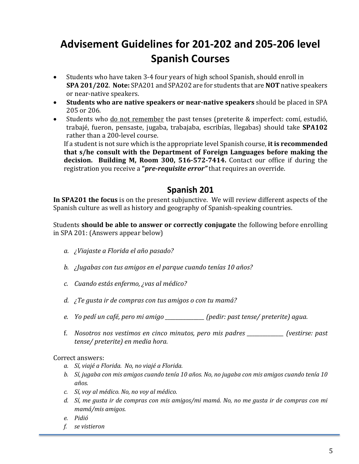# **Advisement Guidelines for 201-202 and 205-206 level Spanish Courses**

- Students who have taken 3-4 four years of high school Spanish, should enroll in **SPA 201/202.** Note: SPA201 and SPA202 are for students that are NOT native speakers or near-native speakers.
- Students who are native speakers or near-native speakers should be placed in SPA 205 or 206.
- Students who <u>do not remember</u> the past tenses (preterite & imperfect: comí, estudió, trabajé, fueron, pensaste, jugaba, trabajaba, escribías, llegabas) should take **SPA102** rather than a 200-level course.

If a student is not sure which is the appropriate level Spanish course, **it is recommended** that s/he consult with the Department of Foreign Languages before making the **decision.** Building M, Room 300, 516-572-7414. Contact our office if during the registration you receive a "*pre-requisite error*" that requires an override.

### **Spanish 201**

In SPA201 the focus is on the present subjunctive. We will review different aspects of the Spanish culture as well as history and geography of Spanish-speaking countries.

Students **should be able to answer or correctly conjugate** the following before enrolling in SPA 201: (Answers appear below)

- *a. ¿Viajaste a Florida el año pasado?*
- *b. ¿Jugabas* con tus amigos en el parque cuando tenías 10 años?
- *c. Cuando estás enfermo, ¿vas al médico?*
- *d. i* Te gusta ir de compras con tus amigos o con tu mamá?
- *e. Yo pedí un café, pero mi amigo \_\_\_\_\_\_\_\_\_\_\_\_\_\_\_ (pedir: past tense/ preterite) agua.*
- f. Nosotros nos vestimos en cinco minutos, pero mis padres \_\_\_\_\_\_\_\_\_\_\_\_\_ (vestirse: past *tense/ preterite) en media hora.*

#### Correct answers:

- *a. Sí, viajé a Florida. No, no viajé a Florida.*
- *b. Sí, jugaba con mis amigos cuando tenía* 10 años. No, no jugaba con mis amigos cuando tenía 10 *años.*
- *c. Sí, voy al médico. No, no voy al médico.*
- d. Sí, me qusta ir de compras con mis amigos/mi mamá. No, no me qusta ir de compras con mi mamá/mis amigos.
- *e. Pidió*
- *f. se vistieron*